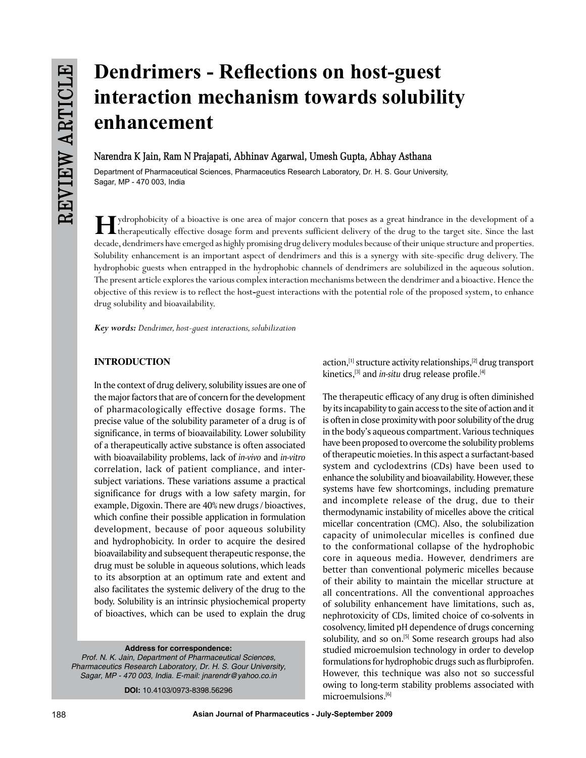# **Dendrimers - Reflections on host-guest interaction mechanism towards solubility enhancement**

**Narendra K Jain, Ram N Prajapati, Abhinav Agarwal, Umesh Gupta, Abhay Asthana**

Department of Pharmaceutical Sciences, Pharmaceutics Research Laboratory, Dr. H. S. Gour University, Sagar, MP - 470 003, India

Mydrophobicity of a bioactive is one area of major concern that poses as a great hindrance in the development of a therapeutically effective dosage form and prevents sufficient delivery of the drug to the target site. Sinc decade, dendrimers have emerged as highly promising drug delivery modules because of their unique structure and properties. Solubility enhancement is an important aspect of dendrimers and this is a synergy with site-specific drug delivery. The hydrophobic guests when entrapped in the hydrophobic channels of dendrimers are solubilized in the aqueous solution. The present article explores the various complex interaction mechanisms between the dendrimer and a bioactive. Hence the objective of this review is to reflect the host**-**guest interactions with the potential role of the proposed system, to enhance drug solubility and bioavailability.

*Key words: Dendrimer, host-guest interactions, solubilization*

# **INTRODUCTION**

In the context of drug delivery, solubility issues are one of the major factors that are of concern for the development of pharmacologically effective dosage forms. The precise value of the solubility parameter of a drug is of significance, in terms of bioavailability. Lower solubility of a therapeutically active substance is often associated with bioavailability problems, lack of *in-vivo* and *in-vitro*  correlation, lack of patient compliance, and intersubject variations. These variations assume a practical significance for drugs with a low safety margin, for example, Digoxin. There are 40% new drugs / bioactives, which confine their possible application in formulation development, because of poor aqueous solubility and hydrophobicity. In order to acquire the desired bioavailability and subsequent therapeutic response, the drug must be soluble in aqueous solutions, which leads to its absorption at an optimum rate and extent and also facilitates the systemic delivery of the drug to the body. Solubility is an intrinsic physiochemical property of bioactives, which can be used to explain the drug

**Address for correspondence:** *Prof. N. K. Jain, Department of Pharmaceutical Sciences, Pharmaceutics Research Laboratory, Dr. H. S. Gour University, Sagar, MP - 470 003, India. E-mail: jnarendr@yahoo.co.in*

**DOI:** 10.4103/0973-8398.56296

action,<sup>[1]</sup> structure activity relationships,<sup>[2]</sup> drug transport kinetics,<sup>[3]</sup> and *in-situ* drug release profile.<sup>[4]</sup>

The therapeutic efficacy of any drug is often diminished by its incapability to gain access to the site of action and it is often in close proximity with poor solubility of the drug in the body's aqueous compartment. Various techniques have been proposed to overcome the solubility problems of therapeutic moieties. In this aspect a surfactant-based system and cyclodextrins (CDs) have been used to enhance the solubility and bioavailability. However, these systems have few shortcomings, including premature and incomplete release of the drug, due to their thermodynamic instability of micelles above the critical micellar concentration (CMC). Also, the solubilization capacity of unimolecular micelles is confined due to the conformational collapse of the hydrophobic core in aqueous media. However, dendrimers are better than conventional polymeric micelles because of their ability to maintain the micellar structure at all concentrations. All the conventional approaches of solubility enhancement have limitations, such as, nephrotoxicity of CDs, limited choice of co-solvents in cosolvency, limited pH dependence of drugs concerning solubility, and so on.<sup>[5]</sup> Some research groups had also studied microemulsion technology in order to develop formulations for hydrophobic drugs such as flurbiprofen. However, this technique was also not so successful owing to long-term stability problems associated with microemulsions.[6]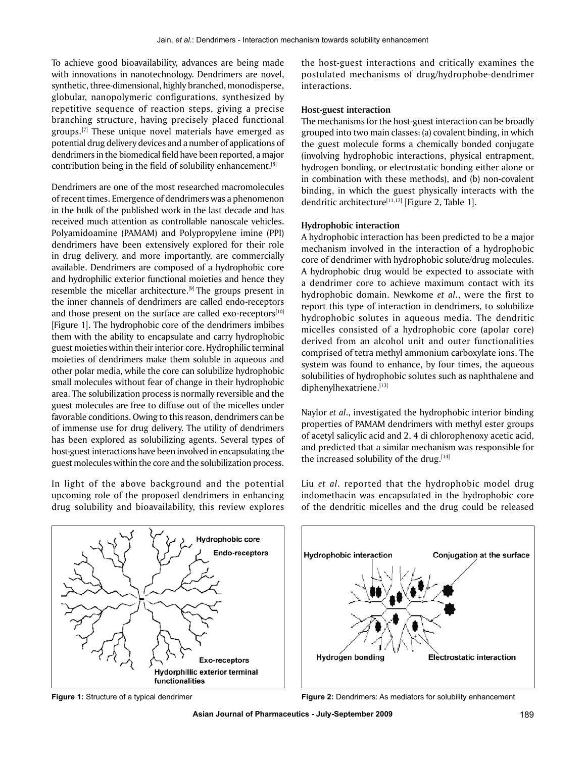To achieve good bioavailability, advances are being made with innovations in nanotechnology. Dendrimers are novel, synthetic, three-dimensional, highly branched, monodisperse, globular, nanopolymeric configurations, synthesized by repetitive sequence of reaction steps, giving a precise branching structure, having precisely placed functional groups.<sup>[7]</sup> These unique novel materials have emerged as potential drug delivery devices and a number of applications of dendrimers in the biomedical field have been reported, a major contribution being in the field of solubility enhancement.[8]

Dendrimers are one of the most researched macromolecules of recent times. Emergence of dendrimers was a phenomenon in the bulk of the published work in the last decade and has received much attention as controllable nanoscale vehicles. Polyamidoamine (PAMAM) and Polypropylene imine (PPI) dendrimers have been extensively explored for their role in drug delivery, and more importantly, are commercially available. Dendrimers are composed of a hydrophobic core and hydrophilic exterior functional moieties and hence they resemble the micellar architecture.<sup>[9]</sup> The groups present in the inner channels of dendrimers are called endo-receptors and those present on the surface are called exo-receptors<sup>[10]</sup> [Figure 1]. The hydrophobic core of the dendrimers imbibes them with the ability to encapsulate and carry hydrophobic guest moieties within their interior core. Hydrophilic terminal moieties of dendrimers make them soluble in aqueous and other polar media, while the core can solubilize hydrophobic small molecules without fear of change in their hydrophobic area. The solubilization process is normally reversible and the guest molecules are free to diffuse out of the micelles under favorable conditions. Owing to this reason, dendrimers can be of immense use for drug delivery. The utility of dendrimers has been explored as solubilizing agents. Several types of host-guest interactions have been involved in encapsulating the guest molecules within the core and the solubilization process.

In light of the above background and the potential upcoming role of the proposed dendrimers in enhancing drug solubility and bioavailability, this review explores the host-guest interactions and critically examines the postulated mechanisms of drug/hydrophobe-dendrimer interactions.

#### **Host-guest interaction**

The mechanisms for the host-guest interaction can be broadly grouped into two main classes: (a) covalent binding, in which the guest molecule forms a chemically bonded conjugate (involving hydrophobic interactions, physical entrapment, hydrogen bonding, or electrostatic bonding either alone or in combination with these methods), and (b) non-covalent binding, in which the guest physically interacts with the dendritic architecture<sup>[11,12]</sup> [Figure 2, Table 1].

#### **Hydrophobic interaction**

A hydrophobic interaction has been predicted to be a major mechanism involved in the interaction of a hydrophobic core of dendrimer with hydrophobic solute/drug molecules. A hydrophobic drug would be expected to associate with a dendrimer core to achieve maximum contact with its hydrophobic domain. Newkome *et al*., were the first to report this type of interaction in dendrimers, to solubilize hydrophobic solutes in aqueous media. The dendritic micelles consisted of a hydrophobic core (apolar core) derived from an alcohol unit and outer functionalities comprised of tetra methyl ammonium carboxylate ions. The system was found to enhance, by four times, the aqueous solubilities of hydrophobic solutes such as naphthalene and diphenylhexatriene.[13]

Naylor *et al*., investigated the hydrophobic interior binding properties of PAMAM dendrimers with methyl ester groups of acetyl salicylic acid and 2, 4 di chlorophenoxy acetic acid, and predicted that a similar mechanism was responsible for the increased solubility of the drug.[14]



Liu *et al*. reported that the hydrophobic model drug indomethacin was encapsulated in the hydrophobic core of the dendritic micelles and the drug could be released

**Figure 1:** Structure of a typical dendrimer **Figure 2:** Dendrimers: As mediators for solubility enhancement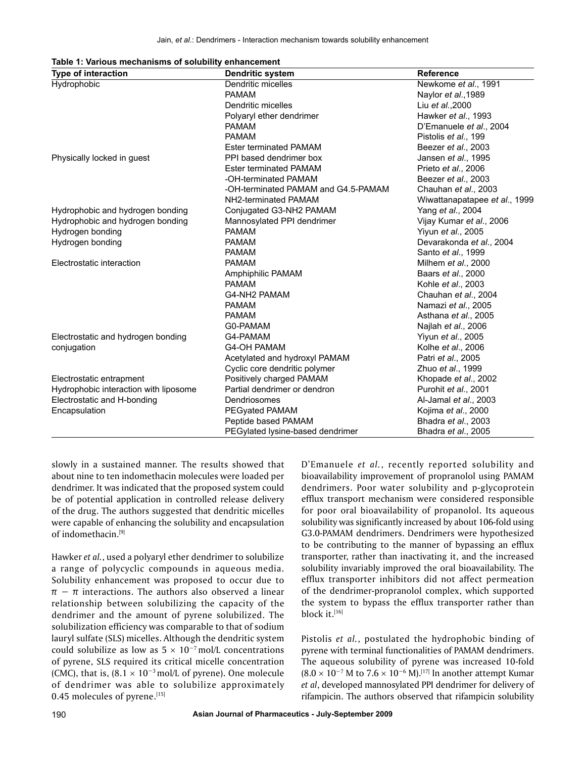**Table 1: Various mechanisms of solubility enhancement**

| <b>Type of interaction</b>            | <b>Dendritic system</b>             | <b>Reference</b>              |
|---------------------------------------|-------------------------------------|-------------------------------|
| <b>Hydrophobic</b>                    | Dendritic micelles                  | Newkome et al., 1991          |
|                                       | <b>PAMAM</b>                        | Naylor et al., 1989           |
|                                       | Dendritic micelles                  | Liu et al., 2000              |
|                                       | Polyaryl ether dendrimer            | Hawker et al., 1993           |
|                                       | <b>PAMAM</b>                        | D'Emanuele et al., 2004       |
|                                       | <b>PAMAM</b>                        | Pistolis et al., 199          |
|                                       | <b>Ester terminated PAMAM</b>       | Beezer et al., 2003           |
| Physically locked in guest            | PPI based dendrimer box             | Jansen et al., 1995           |
|                                       | <b>Ester terminated PAMAM</b>       | Prieto et al., 2006           |
|                                       | -OH-terminated PAMAM                | Beezer et al., 2003           |
|                                       | -OH-terminated PAMAM and G4.5-PAMAM | Chauhan et al., 2003          |
|                                       | NH2-terminated PAMAM                | Wiwattanapatapee et al., 1999 |
| Hydrophobic and hydrogen bonding      | Conjugated G3-NH2 PAMAM             | Yang et al., 2004             |
| Hydrophobic and hydrogen bonding      | Mannosylated PPI dendrimer          | Vijay Kumar et al., 2006      |
| Hydrogen bonding                      | <b>PAMAM</b>                        | Yiyun et al., 2005            |
| Hydrogen bonding                      | <b>PAMAM</b>                        | Devarakonda et al., 2004      |
|                                       | <b>PAMAM</b>                        | Santo et al., 1999            |
| Electrostatic interaction             | <b>PAMAM</b>                        | Milhem et al., 2000           |
|                                       | Amphiphilic PAMAM                   | Baars et al., 2000            |
|                                       | <b>PAMAM</b>                        | Kohle <i>et al.</i> , 2003    |
|                                       | G4-NH2 PAMAM                        | Chauhan et al., 2004          |
|                                       | <b>PAMAM</b>                        | Namazi et al., 2005           |
|                                       | <b>PAMAM</b>                        | Asthana et al., 2005          |
|                                       | G0-PAMAM                            | Najlah et al., 2006           |
| Electrostatic and hydrogen bonding    | G4-PAMAM                            | Yiyun et al., 2005            |
| conjugation                           | <b>G4-OH PAMAM</b>                  | Kolhe et al., 2006            |
|                                       | Acetylated and hydroxyl PAMAM       | Patri et al., 2005            |
|                                       | Cyclic core dendritic polymer       | Zhuo <i>et al.</i> , 1999     |
| Electrostatic entrapment              | Positively charged PAMAM            | Khopade et al., 2002          |
| Hydrophobic interaction with liposome | Partial dendrimer or dendron        | Purohit et al., 2001          |
| Electrostatic and H-bonding           | Dendriosomes                        | Al-Jamal et al., 2003         |
| Encapsulation                         | <b>PEGyated PAMAM</b>               | Kojima et al., 2000           |
|                                       | Peptide based PAMAM                 | Bhadra et al., 2003           |
|                                       | PEGylated lysine-based dendrimer    | Bhadra et al., 2005           |

slowly in a sustained manner. The results showed that about nine to ten indomethacin molecules were loaded per dendrimer. It was indicated that the proposed system could be of potential application in controlled release delivery of the drug. The authors suggested that dendritic micelles were capable of enhancing the solubility and encapsulation of indomethacin.[9]

Hawker *et al.*, used a polyaryl ether dendrimer to solubilize a range of polycyclic compounds in aqueous media. Solubility enhancement was proposed to occur due to  $\pi - \pi$  interactions. The authors also observed a linear relationship between solubilizing the capacity of the dendrimer and the amount of pyrene solubilized. The solubilization efficiency was comparable to that of sodium lauryl sulfate (SLS) micelles. Although the dendritic system could solubilize as low as  $5 \times 10^{-7}$  mol/L concentrations of pyrene, SLS required its critical micelle concentration (CMC), that is,  $(8.1 \times 10^{-3} \text{ mol/L of pyrene})$ . One molecule of dendrimer was able to solubilize approximately 0.45 molecules of pyrene.[15]

D'Emanuele *et al.*, recently reported solubility and bioavailability improvement of propranolol using PAMAM dendrimers. Poor water solubility and p-glycoprotein efflux transport mechanism were considered responsible for poor oral bioavailability of propanolol. Its aqueous solubility was significantly increased by about 106-fold using G3.0-PAMAM dendrimers. Dendrimers were hypothesized to be contributing to the manner of bypassing an efflux transporter, rather than inactivating it, and the increased solubility invariably improved the oral bioavailability. The efflux transporter inhibitors did not affect permeation of the dendrimer-propranolol complex, which supported the system to bypass the efflux transporter rather than block it.[16]

Pistolis *et al.*, postulated the hydrophobic binding of pyrene with terminal functionalities of PAMAM dendrimers. The aqueous solubility of pyrene was increased 10-fold  $(8.0 \times 10^{-7}$  M to  $7.6 \times 10^{-6}$  M).<sup>[17]</sup> In another attempt Kumar *et al*, developed mannosylated PPI dendrimer for delivery of rifampicin. The authors observed that rifampicin solubility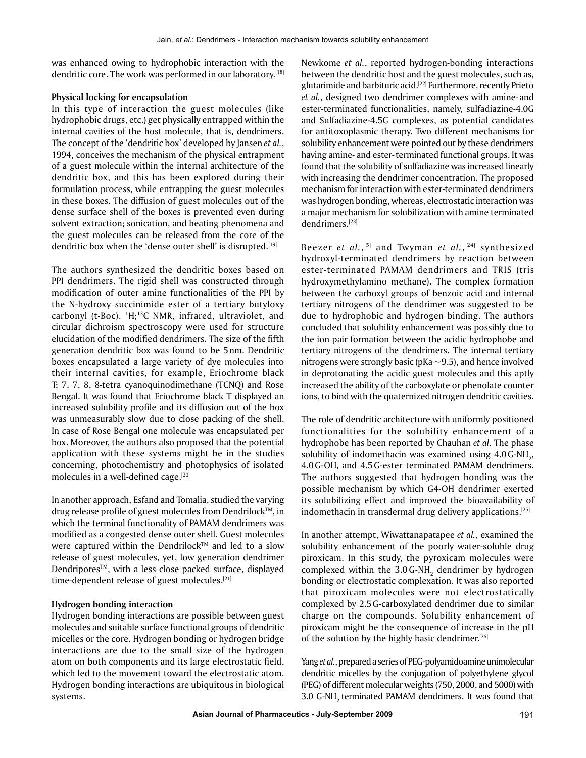was enhanced owing to hydrophobic interaction with the dendritic core. The work was performed in our laboratory.<sup>[18]</sup>

#### **Physical locking for encapsulation**

In this type of interaction the guest molecules (like hydrophobic drugs, etc.) get physically entrapped within the internal cavities of the host molecule, that is, dendrimers. The concept of the 'dendritic box' developed by Jansen *et al.*, 1994, conceives the mechanism of the physical entrapment of a guest molecule within the internal architecture of the dendritic box, and this has been explored during their formulation process, while entrapping the guest molecules in these boxes. The diffusion of guest molecules out of the dense surface shell of the boxes is prevented even during solvent extraction; sonication, and heating phenomena and the guest molecules can be released from the core of the dendritic box when the 'dense outer shell' is disrupted.<sup>[19]</sup>

The authors synthesized the dendritic boxes based on PPI dendrimers. The rigid shell was constructed through modification of outer amine functionalities of the PPI by the N-hydroxy succinimide ester of a tertiary butyloxy carbonyl (t-Boc).  ${}^{1}H;{}^{13}C$  NMR, infrared, ultraviolet, and circular dichroism spectroscopy were used for structure elucidation of the modified dendrimers. The size of the fifth generation dendritic box was found to be 5nm. Dendritic boxes encapsulated a large variety of dye molecules into their internal cavities, for example, Eriochrome black T; 7, 7, 8, 8-tetra cyanoquinodimethane (TCNQ) and Rose Bengal. It was found that Eriochrome black T displayed an increased solubility profile and its diffusion out of the box was unmeasurably slow due to close packing of the shell. In case of Rose Bengal one molecule was encapsulated per box. Moreover, the authors also proposed that the potential application with these systems might be in the studies concerning, photochemistry and photophysics of isolated molecules in a well-defined cage.<sup>[20]</sup>

In another approach, Esfand and Tomalia, studied the varying drug release profile of guest molecules from Dendrilock™, in which the terminal functionality of PAMAM dendrimers was modified as a congested dense outer shell. Guest molecules were captured within the Dendrilock™ and led to a slow release of guest molecules, yet, low generation dendrimer Dendripores<sup>™</sup>, with a less close packed surface, displayed time-dependent release of guest molecules.[21]

#### **Hydrogen bonding interaction**

Hydrogen bonding interactions are possible between guest molecules and suitable surface functional groups of dendritic micelles or the core. Hydrogen bonding or hydrogen bridge interactions are due to the small size of the hydrogen atom on both components and its large electrostatic field, which led to the movement toward the electrostatic atom. Hydrogen bonding interactions are ubiquitous in biological systems.

Newkome *et al.*, reported hydrogen-bonding interactions between the dendritic host and the guest molecules, such as, glutarimide and barbituric acid.[22] Furthermore, recently Prieto *et al.*, designed two dendrimer complexes with amine- and ester-terminated functionalities, namely, sulfadiazine-4.0G and Sulfadiazine-4.5G complexes, as potential candidates for antitoxoplasmic therapy. Two different mechanisms for solubility enhancement were pointed out by these dendrimers having amine- and ester-terminated functional groups. It was found that the solubility of sulfadiazine was increased linearly with increasing the dendrimer concentration. The proposed mechanism for interaction with ester-terminated dendrimers was hydrogen bonding, whereas, electrostatic interaction was a major mechanism for solubilization with amine terminated dendrimers.[23]

Beezer *et al.*, [5] and Twyman *et al.*, [24] synthesized hydroxyl-terminated dendrimers by reaction between ester-terminated PAMAM dendrimers and TRIS (tris hydroxymethylamino methane). The complex formation between the carboxyl groups of benzoic acid and internal tertiary nitrogens of the dendrimer was suggested to be due to hydrophobic and hydrogen binding. The authors concluded that solubility enhancement was possibly due to the ion pair formation between the acidic hydrophobe and tertiary nitrogens of the dendrimers. The internal tertiary nitrogens were strongly basic (pKa  $\sim$ 9.5), and hence involved in deprotonating the acidic guest molecules and this aptly increased the ability of the carboxylate or phenolate counter ions, to bind with the quaternized nitrogen dendritic cavities.

The role of dendritic architecture with uniformly positioned functionalities for the solubility enhancement of a hydrophobe has been reported by Chauhan *et al.* The phase solubility of indomethacin was examined using  $4.0$ G-NH<sub>2</sub>, 4.0G-OH, and 4.5G-ester terminated PAMAM dendrimers. The authors suggested that hydrogen bonding was the possible mechanism by which G4-OH dendrimer exerted its solubilizing effect and improved the bioavailability of indomethacin in transdermal drug delivery applications.<sup>[25]</sup>

In another attempt, Wiwattanapatapee *et al.*, examined the solubility enhancement of the poorly water-soluble drug piroxicam. In this study, the pyroxicam molecules were complexed within the  $3.0$  G-NH<sub>2</sub> dendrimer by hydrogen bonding or electrostatic complexation. It was also reported that piroxicam molecules were not electrostatically complexed by 2.5G-carboxylated dendrimer due to similar charge on the compounds. Solubility enhancement of piroxicam might be the consequence of increase in the pH of the solution by the highly basic dendrimer.[26]

Yang *etal.*, prepared a series of PEG-polyamidoamine unimolecular dendritic micelles by the conjugation of polyethylene glycol (PEG) of different molecular weights (750, 2000, and 5000) with 3.0 G-NH<sub>2</sub> terminated PAMAM dendrimers. It was found that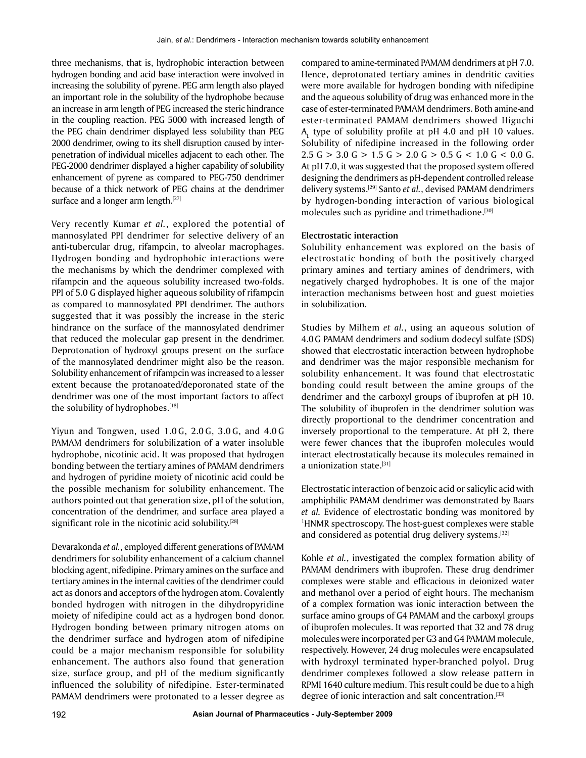three mechanisms, that is, hydrophobic interaction between hydrogen bonding and acid base interaction were involved in increasing the solubility of pyrene. PEG arm length also played an important role in the solubility of the hydrophobe because an increase in arm length of PEG increased the steric hindrance in the coupling reaction. PEG 5000 with increased length of the PEG chain dendrimer displayed less solubility than PEG 2000 dendrimer, owing to its shell disruption caused by interpenetration of individual micelles adjacent to each other. The PEG-2000 dendrimer displayed a higher capability of solubility enhancement of pyrene as compared to PEG-750 dendrimer because of a thick network of PEG chains at the dendrimer surface and a longer arm length.<sup>[27]</sup>

Very recently Kumar *et al.*, explored the potential of mannosylated PPI dendrimer for selective delivery of an anti-tubercular drug, rifampcin, to alveolar macrophages. Hydrogen bonding and hydrophobic interactions were the mechanisms by which the dendrimer complexed with rifampcin and the aqueous solubility increased two-folds. PPI of 5.0 G displayed higher aqueous solubility of rifampcin as compared to mannosylated PPI dendrimer. The authors suggested that it was possibly the increase in the steric hindrance on the surface of the mannosylated dendrimer that reduced the molecular gap present in the dendrimer. Deprotonation of hydroxyl groups present on the surface of the mannosylated dendrimer might also be the reason. Solubility enhancement of rifampcin was increased to a lesser extent because the protanoated/deporonated state of the dendrimer was one of the most important factors to affect the solubility of hydrophobes.<sup>[18]</sup>

Yiyun and Tongwen, used 1.0 G, 2.0 G, 3.0 G, and 4.0 G PAMAM dendrimers for solubilization of a water insoluble hydrophobe, nicotinic acid. It was proposed that hydrogen bonding between the tertiary amines of PAMAM dendrimers and hydrogen of pyridine moiety of nicotinic acid could be the possible mechanism for solubility enhancement. The authors pointed out that generation size, pH of the solution, concentration of the dendrimer, and surface area played a significant role in the nicotinic acid solubility.<sup>[28]</sup>

Devarakonda *et al.*, employed different generations of PAMAM dendrimers for solubility enhancement of a calcium channel blocking agent, nifedipine. Primary amines on the surface and tertiary amines in the internal cavities of the dendrimer could act as donors and acceptors of the hydrogen atom. Covalently bonded hydrogen with nitrogen in the dihydropyridine moiety of nifedipine could act as a hydrogen bond donor. Hydrogen bonding between primary nitrogen atoms on the dendrimer surface and hydrogen atom of nifedipine could be a major mechanism responsible for solubility enhancement. The authors also found that generation size, surface group, and pH of the medium significantly influenced the solubility of nifedipine. Ester-terminated PAMAM dendrimers were protonated to a lesser degree as compared to amine-terminated PAMAM dendrimers at pH 7.0. Hence, deprotonated tertiary amines in dendritic cavities were more available for hydrogen bonding with nifedipine and the aqueous solubility of drug was enhanced more in the case of ester-terminated PAMAM dendrimers. Both amine-and ester-terminated PAMAM dendrimers showed Higuchi  $A<sub>L</sub>$  type of solubility profile at pH 4.0 and pH 10 values. Solubility of nifedipine increased in the following order 2.5 G  $>$  3.0 G  $>$  1.5 G  $>$  2.0 G  $>$  0.5 G  $<$  1.0 G  $<$  0.0 G. At pH 7.0, it was suggested that the proposed system offered designing the dendrimers as pH-dependent controlled release delivery systems.[29] Santo *et al.*, devised PAMAM dendrimers by hydrogen-bonding interaction of various biological molecules such as pyridine and trimethadione.<sup>[30]</sup>

## **Electrostatic interaction**

Solubility enhancement was explored on the basis of electrostatic bonding of both the positively charged primary amines and tertiary amines of dendrimers, with negatively charged hydrophobes. It is one of the major interaction mechanisms between host and guest moieties in solubilization.

Studies by Milhem *et al.*, using an aqueous solution of 4.0G PAMAM dendrimers and sodium dodecyl sulfate (SDS) showed that electrostatic interaction between hydrophobe and dendrimer was the major responsible mechanism for solubility enhancement. It was found that electrostatic bonding could result between the amine groups of the dendrimer and the carboxyl groups of ibuprofen at pH 10. The solubility of ibuprofen in the dendrimer solution was directly proportional to the dendrimer concentration and inversely proportional to the temperature. At pH 2, there were fewer chances that the ibuprofen molecules would interact electrostatically because its molecules remained in a unionization state.[31]

Electrostatic interaction of benzoic acid or salicylic acid with amphiphilic PAMAM dendrimer was demonstrated by Baars *et al.* Evidence of electrostatic bonding was monitored by 1 <sup>1</sup>HNMR spectroscopy. The host-guest complexes were stable and considered as potential drug delivery systems.<sup>[32]</sup>

Kohle *et al.*, investigated the complex formation ability of PAMAM dendrimers with ibuprofen. These drug dendrimer complexes were stable and efficacious in deionized water and methanol over a period of eight hours. The mechanism of a complex formation was ionic interaction between the surface amino groups of G4 PAMAM and the carboxyl groups of ibuprofen molecules. It was reported that 32 and 78 drug molecules were incorporated per G3 and G4 PAMAM molecule, respectively. However, 24 drug molecules were encapsulated with hydroxyl terminated hyper-branched polyol. Drug dendrimer complexes followed a slow release pattern in RPMI 1640 culture medium. This result could be due to a high degree of ionic interaction and salt concentration.<sup>[33]</sup>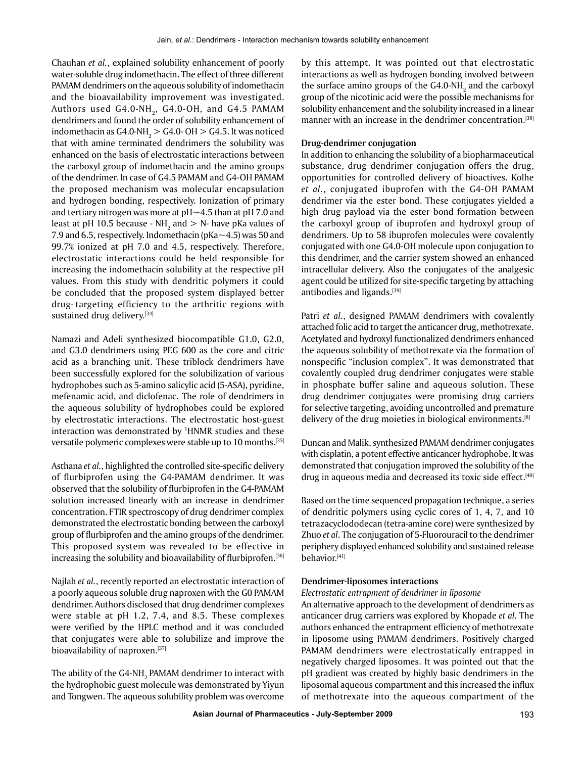Chauhan *et al.*, explained solubility enhancement of poorly water-soluble drug indomethacin. The effect of three different PAMAM dendrimers on the aqueous solubility of indomethacin and the bioavailability improvement was investigated. Authors used  $\textsf{G4.0-NH}_{\text{\tiny{2}}}$ ,  $\textsf{G4.0-OH},$  and  $\textsf{G4.5}$   $\textsf{PAMAM}$ dendrimers and found the order of solubility enhancement of indomethacin as  $G4.0\text{-}NH_{2} > G4.0\text{-}OH > G4.5$ . It was noticed that with amine terminated dendrimers the solubility was enhanced on the basis of electrostatic interactions between the carboxyl group of indomethacin and the amino groups of the dendrimer. In case of G4.5 PAMAM and G4-OH PAMAM the proposed mechanism was molecular encapsulation and hydrogen bonding, respectively. Ionization of primary and tertiary nitrogen was more at  $pH \sim 4.5$  than at  $pH 7.0$  and least at pH 10.5 because - NH<sub>2</sub> and  $>$  N- have pKa values of 7.9 and 6.5, respectively. Indomethacin (pKa $\sim$ 4.5) was 50 and 99.7% ionized at pH 7.0 and 4.5, respectively. Therefore, electrostatic interactions could be held responsible for increasing the indomethacin solubility at the respective pH values. From this study with dendritic polymers it could be concluded that the proposed system displayed better drug- targeting efficiency to the arthritic regions with sustained drug delivery.[34]

Namazi and Adeli synthesized biocompatible G1.0, G2.0, and G3.0 dendrimers using PEG 600 as the core and citric acid as a branching unit. These triblock dendrimers have been successfully explored for the solubilization of various hydrophobes such as 5-amino salicylic acid (5-ASA), pyridine, mefenamic acid, and diclofenac**.** The role of dendrimers in the aqueous solubility of hydrophobes could be explored by electrostatic interactions. The electrostatic host-guest interaction was demonstrated by <sup>1</sup>HNMR studies and these versatile polymeric complexes were stable up to 10 months.<sup>[35]</sup>

Asthana *et al.*, highlighted the controlled site-specific delivery of flurbiprofen using the G4-PAMAM dendrimer. It was observed that the solubility of flurbiprofen in the G4-PAMAM solution increased linearly with an increase in dendrimer concentration. FTIR spectroscopy of drug dendrimer complex demonstrated the electrostatic bonding between the carboxyl group of flurbiprofen and the amino groups of the dendrimer. This proposed system was revealed to be effective in increasing the solubility and bioavailability of flurbiprofen.<sup>[36]</sup>

Najlah *et al.*, recently reported an electrostatic interaction of a poorly aqueous soluble drug naproxen with the G0 PAMAM dendrimer. Authors disclosed that drug dendrimer complexes were stable at pH 1.2, 7.4, and 8.5. These complexes were verified by the HPLC method and it was concluded that conjugates were able to solubilize and improve the bioavailability of naproxen.[37]

The ability of the G4-NH $_{\rm _2}$ PAMAM dendrimer to interact with the hydrophobic guest molecule was demonstrated by Yiyun and Tongwen. The aqueous solubility problem was overcome

by this attempt. It was pointed out that electrostatic interactions as well as hydrogen bonding involved between the surface amino groups of the G4.0-NH<sub>2</sub> and the carboxyl group of the nicotinic acid were the possible mechanisms for solubility enhancement and the solubility increased in a linear manner with an increase in the dendrimer concentration.[38]

### **Drug-dendrimer conjugation**

In addition to enhancing the solubility of a biopharmaceutical substance, drug dendrimer conjugation offers the drug, opportunities for controlled delivery of bioactives. Kolhe *et al.*, conjugated ibuprofen with the G4-OH PAMAM dendrimer via the ester bond. These conjugates yielded a high drug payload via the ester bond formation between the carboxyl group of ibuprofen and hydroxyl group of dendrimers. Up to 58 ibuprofen molecules were covalently conjugated with one G4.0-OH molecule upon conjugation to this dendrimer, and the carrier system showed an enhanced intracellular delivery. Also the conjugates of the analgesic agent could be utilized for site-specific targeting by attaching antibodies and ligands.[39]

Patri *et al.*, designed PAMAM dendrimers with covalently attached folic acid to target the anticancer drug, methotrexate. Acetylated and hydroxyl functionalized dendrimers enhanced the aqueous solubility of methotrexate via the formation of nonspecific "inclusion complex". It was demonstrated that covalently coupled drug dendrimer conjugates were stable in phosphate buffer saline and aqueous solution. These drug dendrimer conjugates were promising drug carriers for selective targeting, avoiding uncontrolled and premature delivery of the drug moieties in biological environments.[8]

Duncan and Malik, synthesized PAMAM dendrimer conjugates with cisplatin, a potent effective anticancer hydrophobe. It was demonstrated that conjugation improved the solubility of the drug in aqueous media and decreased its toxic side effect.<sup>[40]</sup>

Based on the time sequenced propagation technique, a series of dendritic polymers using cyclic cores of 1, 4, 7, and 10 tetrazacyclododecan (tetra-amine core) were synthesized by Zhuo *et al*. The conjugation of 5-Fluorouracil to the dendrimer periphery displayed enhanced solubility and sustained release behavior.[41]

# **Dendrimer-liposomes interactions**

#### *Electrostatic entrapment of dendrimer in liposome*

An alternative approach to the development of dendrimers as anticancer drug carriers was explored by Khopade *et al.* The authors enhanced the entrapment efficiency of methotrexate in liposome using PAMAM dendrimers. Positively charged PAMAM dendrimers were electrostatically entrapped in negatively charged liposomes. It was pointed out that the pH gradient was created by highly basic dendrimers in the liposomal aqueous compartment and this increased the influx of methotrexate into the aqueous compartment of the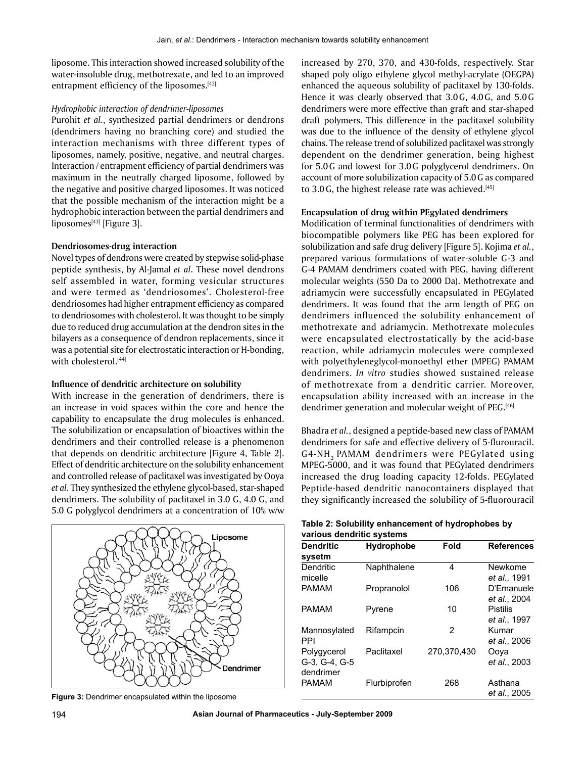liposome. This interaction showed increased solubility of the water-insoluble drug, methotrexate, and led to an improved entrapment efficiency of the liposomes.<sup>[42]</sup>

#### *Hydrophobic interaction of dendrimer-liposomes*

Purohit *et al.*, synthesized partial dendrimers or dendrons (dendrimers having no branching core) and studied the interaction mechanisms with three different types of liposomes, namely, positive, negative, and neutral charges. Interaction / entrapment efficiency of partial dendrimers was maximum in the neutrally charged liposome, followed by the negative and positive charged liposomes. It was noticed that the possible mechanism of the interaction might be a hydrophobic interaction between the partial dendrimers and liposomes<sup>[43]</sup> [Figure 3].

#### **Dendriosomes-drug interaction**

Novel types of dendrons were created by stepwise solid-phase peptide synthesis, by Al-Jamal *et al*. These novel dendrons self assembled in water, forming vesicular structures and were termed as 'dendriosomes'. Cholesterol-free dendriosomes had higher entrapment efficiency as compared to dendriosomes with cholesterol. It was thought to be simply due to reduced drug accumulation at the dendron sites in the bilayers as a consequence of dendron replacements, since it was a potential site for electrostatic interaction or H-bonding, with cholesterol.<sup>[44]</sup>

#### **Influence of dendritic architecture on solubility**

With increase in the generation of dendrimers, there is an increase in void spaces within the core and hence the capability to encapsulate the drug molecules is enhanced. The solubilization or encapsulation of bioactives within the dendrimers and their controlled release is a phenomenon that depends on dendritic architecture [Figure 4, Table 2]. Effect of dendritic architecture on the solubility enhancement and controlled release of paclitaxel was investigated by Ooya *et al.* They synthesized the ethylene glycol-based, star-shaped dendrimers. The solubility of paclitaxel in 3.0 G, 4.0 G, and 5.0 G polyglycol dendrimers at a concentration of 10% w/w



**Figure 3:** Dendrimer encapsulated within the liposome

increased by 270, 370, and 430-folds, respectively. Star shaped poly oligo ethylene glycol methyl-acrylate (OEGPA) enhanced the aqueous solubility of paclitaxel by 130-folds. Hence it was clearly observed that 3.0G, 4.0G, and 5.0G dendrimers were more effective than graft and star-shaped draft polymers. This difference in the paclitaxel solubility was due to the influence of the density of ethylene glycol chains. The release trend of solubilized paclitaxel was strongly dependent on the dendrimer generation, being highest for 5.0G and lowest for 3.0G polyglycerol dendrimers. On account of more solubilization capacity of 5.0G as compared to  $3.0$  G, the highest release rate was achieved.<sup>[45]</sup>

#### **Encapsulation of drug within PEgylated dendrimers**

Modification of terminal functionalities of dendrimers with biocompatible polymers like PEG has been explored for solubilization and safe drug delivery [Figure 5]. Kojima *et al.*, prepared various formulations of water-soluble G-3 and G-4 PAMAM dendrimers coated with PEG, having different molecular weights (550 Da to 2000 Da). Methotrexate and adriamycin were successfully encapsulated in PEGylated dendrimers. It was found that the arm length of PEG on dendrimers influenced the solubility enhancement of methotrexate and adriamycin. Methotrexate molecules were encapsulated electrostatically by the acid-base reaction, while adriamycin molecules were complexed with polyethyleneglycol-monoethyl ether (MPEG) PAMAM dendrimers. *In vitro* studies showed sustained release of methotrexate from a dendritic carrier. Moreover, encapsulation ability increased with an increase in the dendrimer generation and molecular weight of PEG.[46]

Bhadra *et al.*, designed a peptide-based new class of PAMAM dendrimers for safe and effective delivery of 5-flurouracil. G4-NH2 PAMAM dendrimers were PEGylated using MPEG-5000, and it was found that PEGylated dendrimers increased the drug loading capacity 12-folds. PEGylated Peptide-based dendritic nanocontainers displayed that they significantly increased the solubility of 5-fluorouracil

| Table 2: Solubility enhancement of hydrophobes by |  |
|---------------------------------------------------|--|
| various dendritic systems                         |  |

| <b>Dendritic</b><br>sysetm                | <b>Hydrophobe</b> | Fold        | <b>References</b>               |
|-------------------------------------------|-------------------|-------------|---------------------------------|
| Dendritic<br>micelle                      | Naphthalene       | 4           | Newkome<br>et al., 1991         |
| <b>PAMAM</b>                              | Propranolol       | 106         | D'Emanuele<br>et al., 2004      |
| <b>PAMAM</b>                              | Pyrene            | 10          | <b>Pistilis</b><br>et al., 1997 |
| Mannosylated<br>PPI                       | Rifampcin         | 2           | Kumar<br><i>et al., 2006</i>    |
| Polygycerol<br>G-3, G-4, G-5<br>dendrimer | Paclitaxel        | 270.370.430 | Oova<br>et al., 2003            |
| <b>PAMAM</b>                              | Flurbiprofen      | 268         | Asthana<br>et al., 2005         |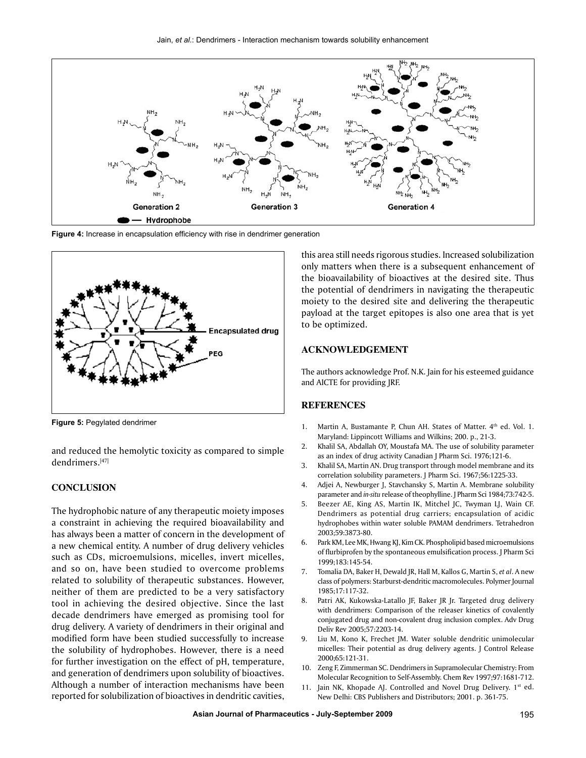





**Figure 5:** Pegylated dendrimer

and reduced the hemolytic toxicity as compared to simple dendrimers.[47]

# **CONCLUSION**

The hydrophobic nature of any therapeutic moiety imposes a constraint in achieving the required bioavailability and has always been a matter of concern in the development of a new chemical entity. A number of drug delivery vehicles such as CDs, microemulsions, micelles, invert micelles, and so on, have been studied to overcome problems related to solubility of therapeutic substances. However, neither of them are predicted to be a very satisfactory tool in achieving the desired objective. Since the last decade dendrimers have emerged as promising tool for drug delivery. A variety of dendrimers in their original and modified form have been studied successfully to increase the solubility of hydrophobes. However, there is a need for further investigation on the effect of pH, temperature, and generation of dendrimers upon solubility of bioactives. Although a number of interaction mechanisms have been reported for solubilization of bioactives in dendritic cavities,

this area still needs rigorous studies. Increased solubilization only matters when there is a subsequent enhancement of the bioavailability of bioactives at the desired site. Thus the potential of dendrimers in navigating the therapeutic moiety to the desired site and delivering the therapeutic payload at the target epitopes is also one area that is yet to be optimized.

## **ACKNOWLEDGeMENT**

The authors acknowledge Prof. N.K. Jain for his esteemed guidance and AICTE for providing JRF.

# **REFERENCES**

- 1. Martin A, Bustamante P, Chun AH. States of Matter. 4<sup>th</sup> ed. Vol. 1. Maryland: Lippincott Williams and Wilkins; 200. p., 21-3.
- 2. Khalil SA, Abdallah OY, Moustafa MA. The use of solubility parameter as an index of drug activity Canadian J Pharm Sci. 1976;121-6.
- 3. Khalil SA, Martin AN. Drug transport through model membrane and its correlation solubility parameters. J Pharm Sci. 1967;56:1225-33.
- 4. Adjei A, Newburger J, Stavchansky S, Martin A. Membrane solubility parameter and *in-situ* release of theophylline. J Pharm Sci 1984;73:742-5.
- 5. Beezer AE, King AS, Martin IK, Mitchel JC, Twyman LJ, Wain CF. Dendrimers as potential drug carriers; encapsulation of acidic hydrophobes within water soluble PAMAM dendrimers. Tetrahedron 2003;59:3873-80.
- 6. Park KM, Lee MK, Hwang KJ, Kim CK. Phospholipid based microemulsions of flurbiprofen by the spontaneous emulsification process. J Pharm Sci 1999;183:145-54.
- 7. Tomalia DA, Baker H, Dewald JR, Hall M, Kallos G, Martin S, *et al*. A new class of polymers: Starburst-dendritic macromolecules. Polymer Journal 1985;17:117-32.
- 8. Patri AK, Kukowska-Latallo JF, Baker JR Jr. Targeted drug delivery with dendrimers: Comparison of the releaser kinetics of covalently conjugated drug and non-covalent drug inclusion complex. Adv Drug Deliv Rev 2005;57:2203-14.
- 9. Liu M, Kono K, Frechet JM. Water soluble dendritic unimolecular micelles: Their potential as drug delivery agents. J Control Release 2000;65:121-31.
- 10. Zeng F, Zimmerman SC. Dendrimers in Supramolecular Chemistry: From Molecular Recognition to Self-Assembly. Chem Rev 1997;97:1681-712.
- 11. Jain NK, Khopade AJ. Controlled and Novel Drug Delivery. 1st ed. New Delhi: CBS Publishers and Distributors; 2001. p. 361-75.